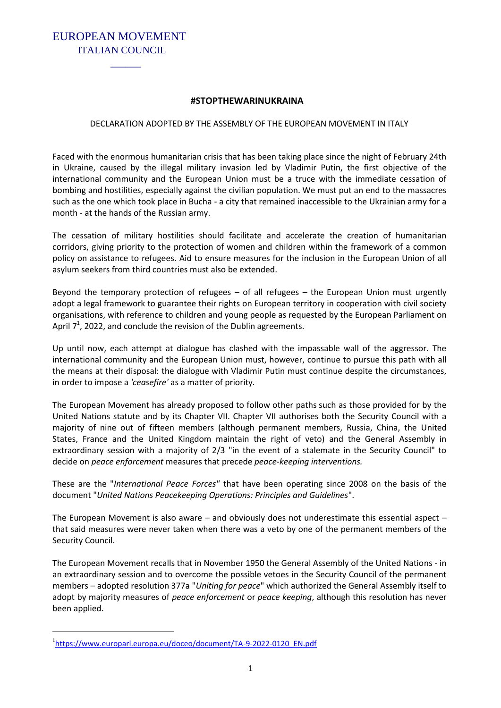EUROPEAN MOVEMENT ITALIAN COUNCIL

 $\mathcal{L}=\mathcal{L}=\mathcal{L}=\mathcal{L}=\mathcal{L}=\mathcal{L}=\mathcal{L}=\mathcal{L}=\mathcal{L}=\mathcal{L}=\mathcal{L}=\mathcal{L}=\mathcal{L}=\mathcal{L}=\mathcal{L}=\mathcal{L}=\mathcal{L}=\mathcal{L}=\mathcal{L}=\mathcal{L}=\mathcal{L}=\mathcal{L}=\mathcal{L}=\mathcal{L}=\mathcal{L}=\mathcal{L}=\mathcal{L}=\mathcal{L}=\mathcal{L}=\mathcal{L}=\mathcal{L}=\mathcal{L}=\mathcal{L}=\mathcal{L}=\mathcal{L}=\mathcal{L}=\mathcal{$ 

## **#STOPTHEWARINUKRAINA**

## DECLARATION ADOPTED BY THE ASSEMBLY OF THE EUROPEAN MOVEMENT IN ITALY

Faced with the enormous humanitarian crisis that has been taking place since the night of February 24th in Ukraine, caused by the illegal military invasion led by Vladimir Putin, the first objective of the international community and the European Union must be a truce with the immediate cessation of bombing and hostilities, especially against the civilian population. We must put an end to the massacres such as the one which took place in Bucha - a city that remained inaccessible to the Ukrainian army for a month - at the hands of the Russian army.

The cessation of military hostilities should facilitate and accelerate the creation of humanitarian corridors, giving priority to the protection of women and children within the framework of a common policy on assistance to refugees. Aid to ensure measures for the inclusion in the European Union of all asylum seekers from third countries must also be extended.

Beyond the temporary protection of refugees – of all refugees – the European Union must urgently adopt a legal framework to guarantee their rights on European territory in cooperation with civil society organisations, with reference to children and young people as requested by the European Parliament on April  $7^1$ , 2022, and conclude the revision of the Dublin agreements.

Up until now, each attempt at dialogue has clashed with the impassable wall of the aggressor. The international community and the European Union must, however, continue to pursue this path with all the means at their disposal: the dialogue with Vladimir Putin must continue despite the circumstances, in order to impose a *'ceasefire'* as a matter of priority*.*

The European Movement has already proposed to follow other paths such as those provided for by the United Nations statute and by its Chapter VII. Chapter VII authorises both the Security Council with a majority of nine out of fifteen members (although permanent members, Russia, China, the United States, France and the United Kingdom maintain the right of veto) and the General Assembly in extraordinary session with a majority of 2/3 "in the event of a stalemate in the Security Council" to decide on *peace enforcement* measures that precede *peace-keeping interventions.*

These are the "*International Peace Forces"* that have been operating since 2008 on the basis of the document "*United Nations Peacekeeping Operations: Principles and Guidelines*".

The European Movement is also aware – and obviously does not underestimate this essential aspect – that said measures were never taken when there was a veto by one of the permanent members of the Security Council.

The European Movement recalls that in November 1950 the General Assembly of the United Nations - in an extraordinary session and to overcome the possible vetoes in the Security Council of the permanent members – adopted resolution 377a "*Uniting for peace*" which authorized the General Assembly itself to adopt by majority measures of *peace enforcement* or *peace keeping*, although this resolution has never been applied.

 $\overline{a}$ 

<sup>&</sup>lt;sup>1</sup>[https://www.europarl.europa.eu/doceo/document/TA-9-2022-0120\\_EN.pdf](https://www.europarl.europa.eu/doceo/document/TA-9-2022-0120_EN.pdf)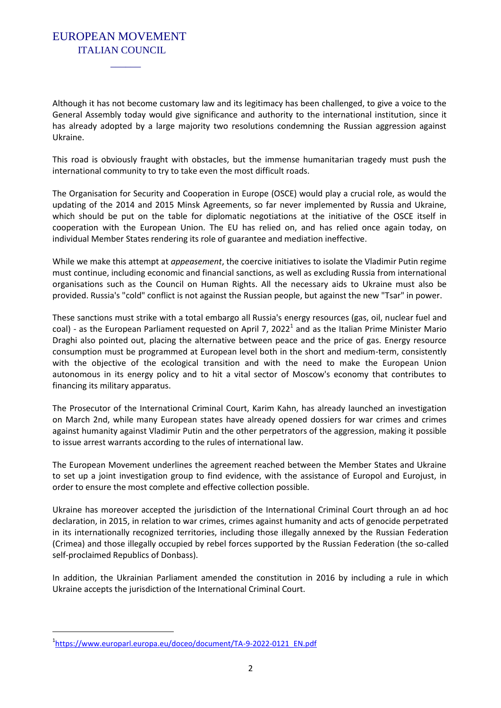## EUROPEAN MOVEMENT ITALIAN COUNCIL

 $\mathcal{L}=\mathcal{L}=\mathcal{L}=\mathcal{L}=\mathcal{L}=\mathcal{L}=\mathcal{L}=\mathcal{L}=\mathcal{L}=\mathcal{L}=\mathcal{L}=\mathcal{L}=\mathcal{L}=\mathcal{L}=\mathcal{L}=\mathcal{L}=\mathcal{L}=\mathcal{L}=\mathcal{L}=\mathcal{L}=\mathcal{L}=\mathcal{L}=\mathcal{L}=\mathcal{L}=\mathcal{L}=\mathcal{L}=\mathcal{L}=\mathcal{L}=\mathcal{L}=\mathcal{L}=\mathcal{L}=\mathcal{L}=\mathcal{L}=\mathcal{L}=\mathcal{L}=\mathcal{L}=\mathcal{$ 

Although it has not become customary law and its legitimacy has been challenged, to give a voice to the General Assembly today would give significance and authority to the international institution, since it has already adopted by a large majority two resolutions condemning the Russian aggression against Ukraine.

This road is obviously fraught with obstacles, but the immense humanitarian tragedy must push the international community to try to take even the most difficult roads.

The Organisation for Security and Cooperation in Europe (OSCE) would play a crucial role, as would the updating of the 2014 and 2015 Minsk Agreements, so far never implemented by Russia and Ukraine, which should be put on the table for diplomatic negotiations at the initiative of the OSCE itself in cooperation with the European Union. The EU has relied on, and has relied once again today, on individual Member States rendering its role of guarantee and mediation ineffective.

While we make this attempt at *appeasement*, the coercive initiatives to isolate the Vladimir Putin regime must continue, including economic and financial sanctions, as well as excluding Russia from international organisations such as the Council on Human Rights. All the necessary aids to Ukraine must also be provided. Russia's "cold" conflict is not against the Russian people, but against the new "Tsar" in power.

These sanctions must strike with a total embargo all Russia's energy resources (gas, oil, nuclear fuel and coal) - as the European Parliament requested on April 7, 2022<sup>1</sup> and as the Italian Prime Minister Mario Draghi also pointed out, placing the alternative between peace and the price of gas. Energy resource consumption must be programmed at European level both in the short and medium-term, consistently with the objective of the ecological transition and with the need to make the European Union autonomous in its energy policy and to hit a vital sector of Moscow's economy that contributes to financing its military apparatus.

The Prosecutor of the International Criminal Court, Karim Kahn, has already launched an investigation on March 2nd, while many European states have already opened dossiers for war crimes and crimes against humanity against Vladimir Putin and the other perpetrators of the aggression, making it possible to issue arrest warrants according to the rules of international law.

The European Movement underlines the agreement reached between the Member States and Ukraine to set up a joint investigation group to find evidence, with the assistance of Europol and Eurojust, in order to ensure the most complete and effective collection possible.

Ukraine has moreover accepted the jurisdiction of the International Criminal Court through an ad hoc declaration, in 2015, in relation to war crimes, crimes against humanity and acts of genocide perpetrated in its internationally recognized territories, including those illegally annexed by the Russian Federation (Crimea) and those illegally occupied by rebel forces supported by the Russian Federation (the so-called self-proclaimed Republics of Donbass).

In addition, the Ukrainian Parliament amended the constitution in 2016 by including a rule in which Ukraine accepts the jurisdiction of the International Criminal Court.

 $\overline{a}$ 

<sup>&</sup>lt;sup>1</sup>[https://www.europarl.europa.eu/doceo/document/TA-9-2022-0121\\_EN.pdf](https://www.europarl.europa.eu/doceo/document/TA-9-2022-0121_EN.pdf)